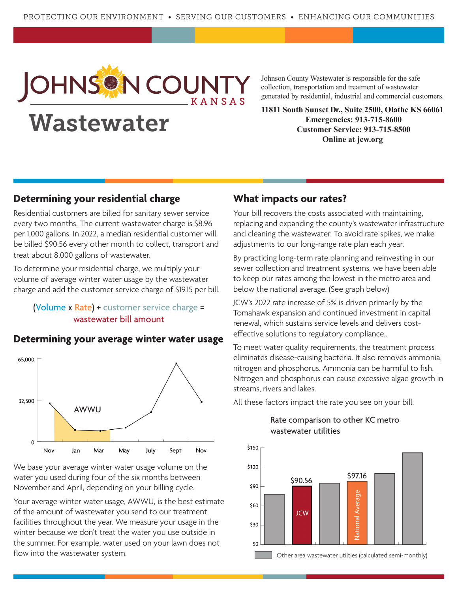

# Wastewater

Johnson County Wastewater is responsible for the safe collection, transportation and treatment of wastewater generated by residential, industrial and commercial customers.

**11811 South Sunset Dr., Suite 2500, Olathe KS 66061 Emergencies: 913-715-8600 Customer Service: 913-715-8500 Online at jcw.org**

#### **Determining your residential charge**

Residential customers are billed for sanitary sewer service every two months. The current wastewater charge is \$8.96 per 1,000 gallons. In 2022, a median residential customer will be billed \$90.56 every other month to collect, transport and treat about 8,000 gallons of wastewater.

To determine your residential charge, we multiply your volume of average winter water usage by the wastewater charge and add the customer service charge of \$19.15 per bill.

#### (Volume x Rate) + customer service charge = wastewater bill amount



#### **Determining your average winter water usage**

We base your average winter water usage volume on the water you used during four of the six months between November and April, depending on your billing cycle.

Your average winter water usage, AWWU, is the best estimate of the amount of wastewater you send to our treatment facilities throughout the year. We measure your usage in the winter because we don't treat the water you use outside in the summer. For example, water used on your lawn does not flow into the wastewater system.

#### **What impacts our rates?**

Your bill recovers the costs associated with maintaining, replacing and expanding the county's wastewater infrastructure and cleaning the wastewater. To avoid rate spikes, we make adjustments to our long-range rate plan each year.

By practicing long-term rate planning and reinvesting in our sewer collection and treatment systems, we have been able to keep our rates among the lowest in the metro area and below the national average. (See graph below)

JCW's 2022 rate increase of 5% is driven primarily by the Tomahawk expansion and continued investment in capital renewal, which sustains service levels and delivers costeffective solutions to regulatory compliance..

To meet water quality requirements, the treatment process eliminates disease-causing bacteria. It also removes ammonia, nitrogen and phosphorus. Ammonia can be harmful to fish. Nitrogen and phosphorus can cause excessive algae growth in streams, rivers and lakes.

All these factors impact the rate you see on your bill.



#### Rate comparison to other KC metro wastewater utilities